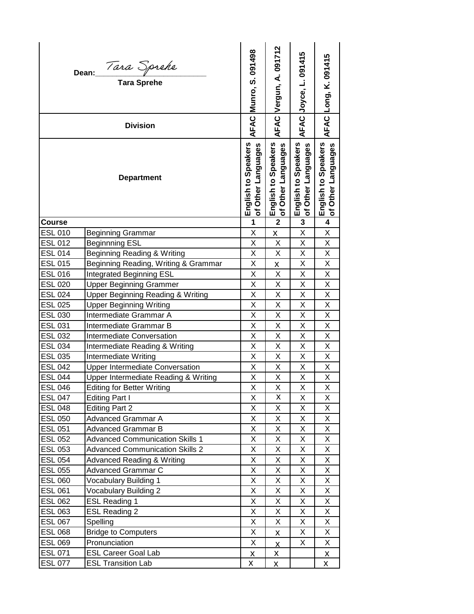| AFAC Vergun, A. 091712<br>AFAC Munro, S. 091498<br>AFAC <mark>Joyce, L. 091415</mark><br>Dean: <i>Tara Sprehe</i><br>Tara Sprehe                                                                                    | AFAC Long, K. 091415                               |
|---------------------------------------------------------------------------------------------------------------------------------------------------------------------------------------------------------------------|----------------------------------------------------|
| <b>Division</b>                                                                                                                                                                                                     |                                                    |
| English to Speakers<br>of Other Languages<br>English to Speakers<br>English to Speakers<br>Other Languages<br>Other Languages<br>Other Languages<br><b>Department</b><br>$\overline{\sigma}$<br>$\overline{\sigma}$ | English to Speakers<br>Other Languages<br>$\sigma$ |
| $\overline{2}$<br>$\overline{\mathbf{3}}$<br><b>Course</b><br>1                                                                                                                                                     | $\overline{\mathbf{4}}$                            |
| X<br><b>ESL 010</b><br>Χ<br><b>Beginning Grammar</b><br>X                                                                                                                                                           | X                                                  |
| <b>ESL 012</b><br><b>Beginnning ESL</b><br>X<br>X<br>X                                                                                                                                                              | X                                                  |
| <b>ESL 014</b><br>Beginning Reading & Writing<br>X<br>X<br>X                                                                                                                                                        | X                                                  |
| Beginning Reading, Writing & Grammar<br>X<br>Χ<br><b>ESL 015</b><br>x                                                                                                                                               | X                                                  |
| X<br>Χ<br><b>ESL 016</b><br>Χ<br>Integrated Beginning ESL                                                                                                                                                           | X                                                  |
| X<br>X<br>X<br><b>ESL 020</b><br><b>Upper Beginning Grammer</b>                                                                                                                                                     | Χ                                                  |
| <b>Upper Beginning Reading &amp; Writing</b><br>X<br>X<br>X<br><b>ESL 024</b>                                                                                                                                       | Χ                                                  |
| <b>ESL 025</b><br>X<br>X<br>Χ<br><b>Upper Beginning Writing</b>                                                                                                                                                     | Χ                                                  |
| X<br>$\mathsf{X}% _{0}$<br>X<br><b>ESL 030</b><br>Intermediate Grammar A                                                                                                                                            | X                                                  |
| X<br>X<br>X<br><b>ESL 031</b><br>Intermediate Grammar B                                                                                                                                                             | X                                                  |
| <b>ESL 032</b><br>X<br>X<br>X<br>Intermediate Conversation                                                                                                                                                          | X                                                  |
| <b>ESL 034</b><br>Intermediate Reading & Writing<br>X<br>X<br>X                                                                                                                                                     | X                                                  |
| X<br>X<br>X<br><b>ESL 035</b><br>Intermediate Writing                                                                                                                                                               | X                                                  |
| <b>ESL 042</b><br>Χ<br>X<br><b>Upper Intermediate Conversation</b><br>Χ                                                                                                                                             | X                                                  |
| X<br>X<br>X<br><b>ESL 044</b><br>Upper Intermediate Reading & Writing                                                                                                                                               | X                                                  |
| $\overline{\mathsf{x}}$<br>X<br>X<br><b>ESL 046</b><br><b>Editing for Better Writing</b>                                                                                                                            | X                                                  |
| X<br><b>ESL 047</b><br>Editing Part I<br>X<br>X                                                                                                                                                                     | X                                                  |
| X<br>X<br><b>ESL 048</b><br><b>Editing Part 2</b><br>X                                                                                                                                                              | X.                                                 |
| Χ<br><b>ESL 050</b><br>X<br>X<br>Advanced Grammar A                                                                                                                                                                 | X                                                  |
| <b>ESL 051</b><br>Advanced Grammar B<br>X<br>X<br>X                                                                                                                                                                 | X.                                                 |
| X<br><b>ESL 052</b><br><b>Advanced Communication Skills 1</b><br>X<br>X                                                                                                                                             | X                                                  |
| <b>Advanced Communication Skills 2</b><br>X<br>X<br>X<br><b>ESL 053</b>                                                                                                                                             | X                                                  |
| Χ<br>X<br>Χ<br><b>ESL 054</b><br><b>Advanced Reading &amp; Writing</b>                                                                                                                                              | X                                                  |
| Advanced Grammar C<br>Χ<br><b>ESL 055</b><br>Χ<br>X                                                                                                                                                                 | X                                                  |
| <b>ESL 060</b><br>Vocabulary Building 1<br>X<br>X<br>X                                                                                                                                                              | X                                                  |
| <b>ESL 061</b><br><b>Vocabulary Building 2</b><br>X<br>X<br>X<br>X<br>X<br>X                                                                                                                                        | X.<br>X.                                           |
| <b>ESL Reading 1</b><br><b>ESL 062</b>                                                                                                                                                                              |                                                    |
| <b>ESL 063</b><br>X<br>X<br><b>ESL Reading 2</b><br>X<br><b>ESL 067</b><br>Spelling<br>X<br>X<br>X                                                                                                                  | X<br>X                                             |
| <b>ESL 068</b><br><b>Bridge to Computers</b><br>X<br>X                                                                                                                                                              | X                                                  |
| X<br>X<br><b>ESL 069</b><br>X<br>Pronunciation                                                                                                                                                                      | X.                                                 |
| $\overline{\mathsf{X}}$<br><b>ESL 071</b><br><b>ESL Career Goal Lab</b>                                                                                                                                             |                                                    |
| $\underline{x}$<br>$\mathbf{x}$<br><b>ESL 077</b><br><b>ESL Transition Lab</b><br>X<br>X                                                                                                                            | $\underline{\mathsf{X}}$<br>X                      |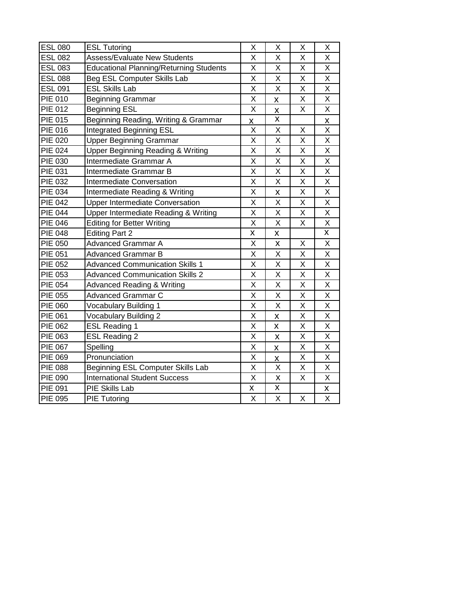| <b>ESL 080</b>       | <b>ESL Tutoring</b>                            | X                       | X                       | X                       | X                       |
|----------------------|------------------------------------------------|-------------------------|-------------------------|-------------------------|-------------------------|
| <b>ESL 082</b>       | Assess/Evaluate New Students                   | Χ                       | Χ                       | Χ                       | Χ                       |
| <b>ESL 083</b>       | <b>Educational Planning/Returning Students</b> | X                       | X                       | X                       | X                       |
| <b>ESL 088</b>       | Beg ESL Computer Skills Lab                    | Χ<br>X                  |                         |                         | X                       |
| <b>ESL 091</b>       | <b>ESL Skills Lab</b>                          | X                       | X                       | X                       | X                       |
| <b>PIE 010</b>       | <b>Beginning Grammar</b>                       | X                       | X                       | X                       | X                       |
| <b>PIE 012</b>       | <b>Beginning ESL</b>                           | X                       | X                       | X                       | Χ                       |
| <b>PIE 015</b>       | Beginning Reading, Writing & Grammar           | X.                      | X                       |                         | X                       |
| PIE 016              | Integrated Beginning ESL                       | X                       | X                       | Χ                       | X                       |
| $\overline{PIE}$ 020 | <b>Upper Beginning Grammar</b>                 | X                       | X                       | X                       | X                       |
| <b>PIE 024</b>       | <b>Upper Beginning Reading &amp; Writing</b>   | X                       | Χ                       | X                       | X                       |
| PIE 030              | Intermediate Grammar A                         | $\overline{\mathsf{x}}$ | $\overline{\mathsf{x}}$ | $\overline{\mathsf{x}}$ | $\overline{\mathsf{X}}$ |
| PIE 031              | Intermediate Grammar B                         | X                       | X                       | X                       | X                       |
| PIE 032              | Intermediate Conversation                      | X                       | X                       | X                       | $\overline{X}$          |
| <b>PIE 034</b>       | Intermediate Reading & Writing                 | X                       | X                       | Χ                       | X                       |
| <b>PIE 042</b>       | <b>Upper Intermediate Conversation</b>         | X                       | Χ                       | Χ                       | Χ                       |
| <b>PIE 044</b>       | Upper Intermediate Reading & Writing           | X                       | X                       | Χ                       | X                       |
| <b>PIE 046</b>       | <b>Editing for Better Writing</b>              | X                       | X                       | X                       | $\overline{X}$          |
| <b>PIE 048</b>       | <b>Editing Part 2</b>                          | X                       | X                       |                         | $\overline{\mathsf{x}}$ |
| PIE 050              | <b>Advanced Grammar A</b>                      | X                       | X                       | Χ                       | X                       |
| <b>PIE 051</b>       | <b>Advanced Grammar B</b>                      |                         | X                       | X                       | X                       |
| <b>PIE 052</b>       | <b>Advanced Communication Skills 1</b>         |                         | X                       | X                       | X                       |
| PIE 053              | <b>Advanced Communication Skills 2</b>         |                         | X                       | X                       | X                       |
| <b>PIE 054</b>       | <b>Advanced Reading &amp; Writing</b>          |                         | Χ                       | Χ                       | X                       |
| PIE 055              | <b>Advanced Grammar C</b>                      | X                       | X                       | X                       | X                       |
| PIE 060              | Vocabulary Building 1                          | X                       | X                       | X                       | X                       |
| PIE 061              | <b>Vocabulary Building 2</b>                   | X                       | X                       | X                       | X                       |
| PIE 062              | <b>ESL Reading 1</b>                           | $\overline{\mathsf{x}}$ | X                       | X                       | $\overline{\mathsf{x}}$ |
| PIE 063              | <b>ESL Reading 2</b>                           | X                       | X                       | X                       | X                       |
| PIE 067              | Spelling                                       | X                       | X                       | X                       | X                       |
| PIE 069              | Pronunciation                                  | X                       | X                       | Χ                       | X                       |
| <b>PIE 088</b>       | Beginning ESL Computer Skills Lab              | X                       | X                       | X                       | X                       |
| PIE 090              | <b>International Student Success</b>           | Χ                       | Χ                       | Χ                       | X                       |
| PIE 091              | PIE Skills Lab                                 | X                       | X                       |                         | $\underline{x}$         |
| <b>PIE 095</b>       | <b>PIE Tutoring</b>                            | $\overline{\mathsf{x}}$ | X                       | X                       | $\overline{\mathsf{x}}$ |